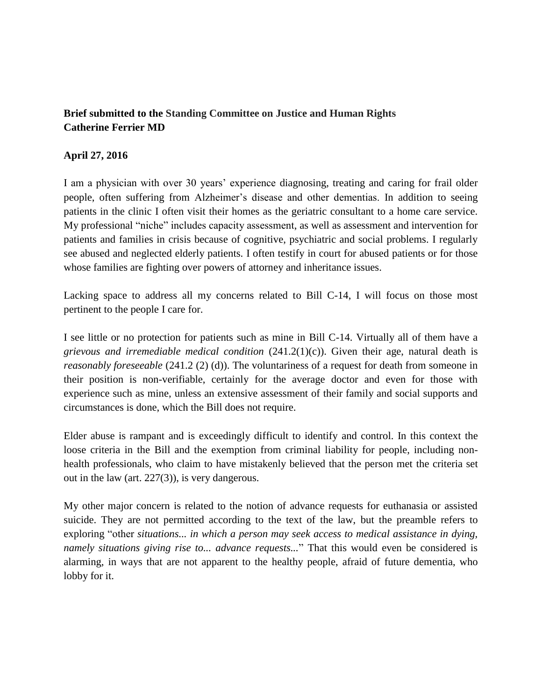## **Brief submitted to the Standing Committee on Justice and Human Rights Catherine Ferrier MD**

## **April 27, 2016**

I am a physician with over 30 years' experience diagnosing, treating and caring for frail older people, often suffering from Alzheimer's disease and other dementias. In addition to seeing patients in the clinic I often visit their homes as the geriatric consultant to a home care service. My professional "niche" includes capacity assessment, as well as assessment and intervention for patients and families in crisis because of cognitive, psychiatric and social problems. I regularly see abused and neglected elderly patients. I often testify in court for abused patients or for those whose families are fighting over powers of attorney and inheritance issues.

Lacking space to address all my concerns related to Bill C-14, I will focus on those most pertinent to the people I care for.

I see little or no protection for patients such as mine in Bill C-14. Virtually all of them have a *grievous and irremediable medical condition* (241.2(1)(c)). Given their age, natural death is *reasonably foreseeable* (241.2 (2) (d)). The voluntariness of a request for death from someone in their position is non-verifiable, certainly for the average doctor and even for those with experience such as mine, unless an extensive assessment of their family and social supports and circumstances is done, which the Bill does not require.

Elder abuse is rampant and is exceedingly difficult to identify and control. In this context the loose criteria in the Bill and the exemption from criminal liability for people, including nonhealth professionals, who claim to have mistakenly believed that the person met the criteria set out in the law (art. 227(3)), is very dangerous.

My other major concern is related to the notion of advance requests for euthanasia or assisted suicide. They are not permitted according to the text of the law, but the preamble refers to exploring "other *situations... in which a person may seek access to medical assistance in dying, namely situations giving rise to... advance requests...*" That this would even be considered is alarming, in ways that are not apparent to the healthy people, afraid of future dementia, who lobby for it.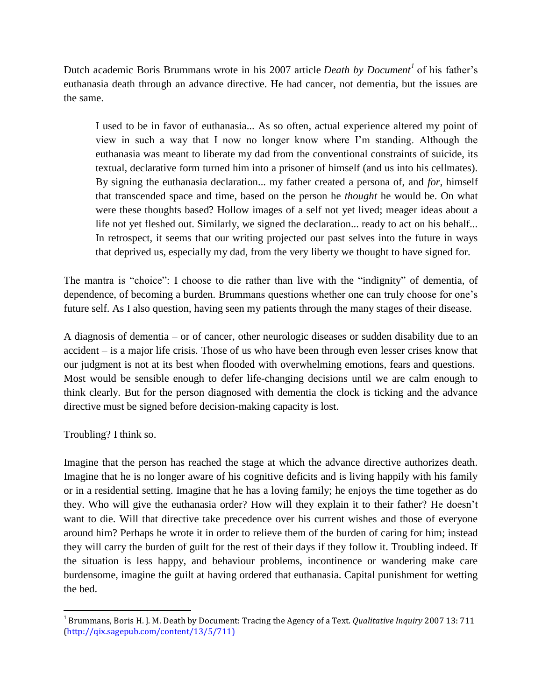Dutch academic Boris Brummans wrote in his 2007 article *Death by Document<sup>1</sup>* of his father's euthanasia death through an advance directive. He had cancer, not dementia, but the issues are the same.

I used to be in favor of euthanasia... As so often, actual experience altered my point of view in such a way that I now no longer know where I'm standing. Although the euthanasia was meant to liberate my dad from the conventional constraints of suicide, its textual, declarative form turned him into a prisoner of himself (and us into his cellmates). By signing the euthanasia declaration... my father created a persona of, and *for*, himself that transcended space and time, based on the person he *thought* he would be. On what were these thoughts based? Hollow images of a self not yet lived; meager ideas about a life not yet fleshed out. Similarly, we signed the declaration... ready to act on his behalf... In retrospect, it seems that our writing projected our past selves into the future in ways that deprived us, especially my dad, from the very liberty we thought to have signed for.

The mantra is "choice": I choose to die rather than live with the "indignity" of dementia, of dependence, of becoming a burden. Brummans questions whether one can truly choose for one's future self. As I also question, having seen my patients through the many stages of their disease.

A diagnosis of dementia – or of cancer, other neurologic diseases or sudden disability due to an accident – is a major life crisis. Those of us who have been through even lesser crises know that our judgment is not at its best when flooded with overwhelming emotions, fears and questions. Most would be sensible enough to defer life-changing decisions until we are calm enough to think clearly. But for the person diagnosed with dementia the clock is ticking and the advance directive must be signed before decision-making capacity is lost.

Troubling? I think so.

 $\overline{\phantom{a}}$ 

Imagine that the person has reached the stage at which the advance directive authorizes death. Imagine that he is no longer aware of his cognitive deficits and is living happily with his family or in a residential setting. Imagine that he has a loving family; he enjoys the time together as do they. Who will give the euthanasia order? How will they explain it to their father? He doesn't want to die. Will that directive take precedence over his current wishes and those of everyone around him? Perhaps he wrote it in order to relieve them of the burden of caring for him; instead they will carry the burden of guilt for the rest of their days if they follow it. Troubling indeed. If the situation is less happy, and behaviour problems, incontinence or wandering make care burdensome, imagine the guilt at having ordered that euthanasia. Capital punishment for wetting the bed.

<sup>1</sup> Brummans, Boris H. J. M. Death by Document: Tracing the Agency of a Text. *Qualitative Inquiry* 2007 13: 711 (http://qix.sagepub.com/content/13/5/711)